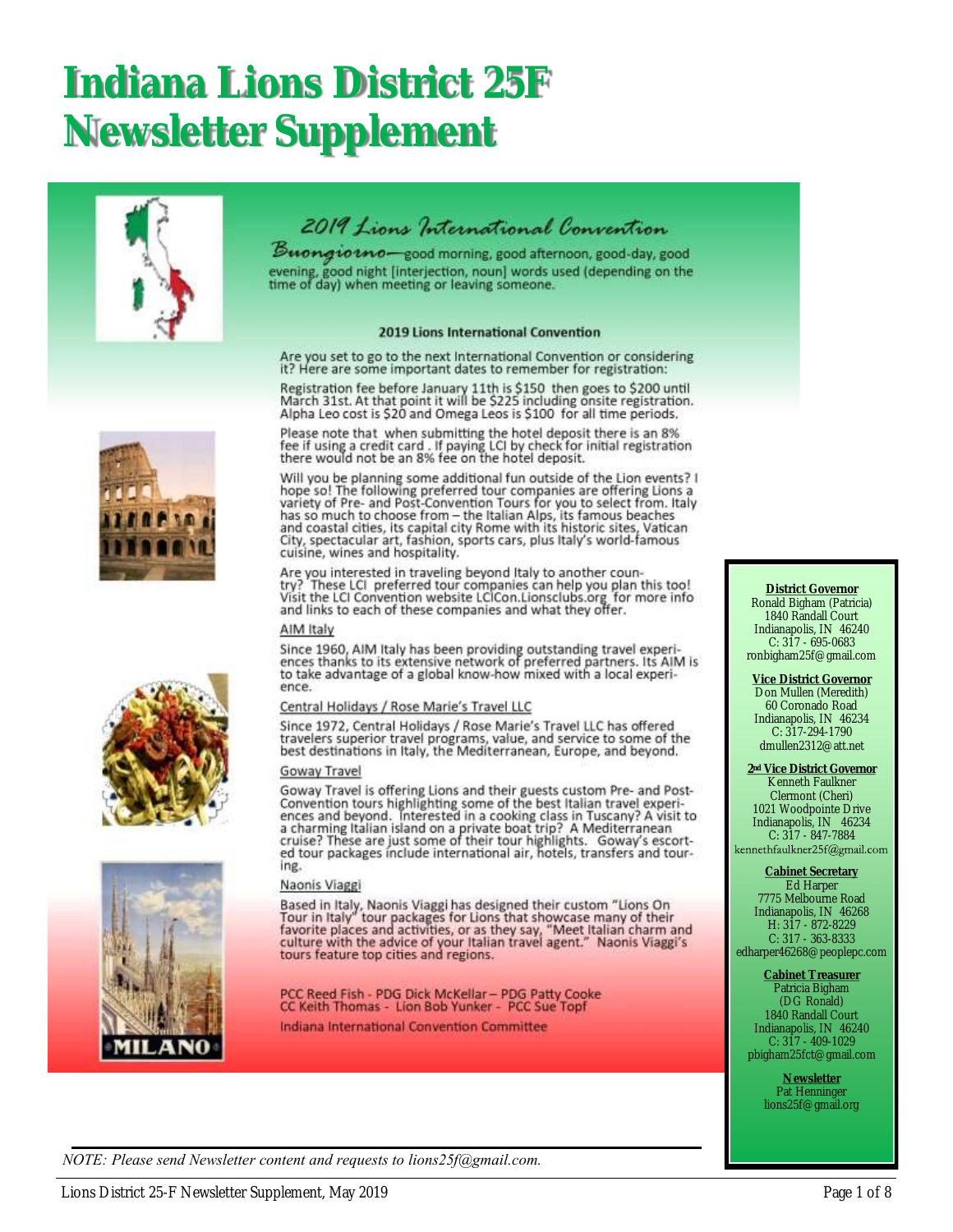## **Indiana Lions District 25F Newsletter Supplement**





Buongiotno-good morning, good afternoon, good-day, good evening, good night [interjection, noun] words used (depending on the<br>time of day) when meeting or leaving someone.

#### 2019 Lions International Convention

Are you set to go to the next International Convention or considering it? Here are some important dates to remember for registration:

Registration fee before January 11th is \$150 then goes to \$200 until<br>March 31st. At that point it will be \$225 including onsite registration. Alpha Leo cost is \$20 and Omega Leos is \$100 for all time periods.

Please note that when submitting the hotel deposit there is an 8%<br>fee if using a credit card . If paying LCI by check for initial registration<br>there would not be an 8% fee on the hotel deposit.

Will you be planning some additional fun outside of the Lion events? I<br>hope so! The following preferred tour companies are offering Lions a Figure sort the Figure and Post-Convention Tours for you to select from. Italy<br>has so much to choose from – the Italian Alps, its famous beaches<br>and coastal cities, its capital city Rome with its historic sites, Vatican<br>Ci cuisine, wines and hospitality.

Are you interested in traveling beyond Italy to another country? These LCI preferred tour companies can help you plan this too!<br>Visit the LCI Convention website LCICon.Lionsclubs.org for more info<br>and links to each of these companies and what they offer.

#### AIM Italy

Since 1960, AIM Italy has been providing outstanding travel experiences thanks to its extensive network of preferred partners. Its AIM is to take advantage of a global know-how mixed with a local experience.

#### Central Holidays / Rose Marie's Travel LLC

Since 1972, Central Holidays / Rose Marie's Travel LLC has offered travelers superior travel programs, value, and service to some of the<br>best destinations in Italy, the Mediterranean, Europe, and beyond.

#### Goway Travel

Goway Travel is offering Lions and their guests custom Pre- and Post-Convention tours highlighting some of the best Italian travel experiences and beyond. Interested in a cooking class in Tuscany? A visit to a charming Ita ing.

#### Naonis Viaggi

Based in Italy, Naonis Viaggi has designed their custom "Lions On<br>Tour in Italy" tour packages for Lions that showcase many of their<br>favorite places and activities, or as they say, "Meet Italian charm and<br>culture with the tours feature top cities and regions.

PCC Reed Fish - PDG Dick McKellar - PDG Patty Cooke<br>CC Kelth Thomas - Lion Bob Yunker - PCC Sue Topf

Indiana International Convention Committee

#### **District Governor** Ronald Bigham (Patricia) 1840 Randall Court Indianapolis, IN 46240 C: 317 - 695-0683 ronbigham25f@gmail.com

**Vice District Governor** Don Mullen (Meredith) 60 Coronado Road Indianapolis, IN 46234 C: 317-294-1790 dmullen2312@att.net

**2nd Vice District Governor** Kenneth Faulkner Clermont (Cheri) 1021 Woodpointe Drive Indianapolis, IN 46234 C:  $317 - 847 - 7884$ <br>kennethfaulkner25f@gmail.com

**Cabinet Secretary**

Ed Harper 7775 Melbourne Road Indianapolis, IN 46268 H: 317 - 872-8229 C: 317 - 363-8333 edharper46268@peoplepc.com

**Cabinet Treasurer** Patricia Bigham (DG Ronald) 1840 Randall Court Indianapolis, IN 46240 C: 317 - 409-1029 pbigham25fct@gmail.com

> **Newsletter** Pat Henninger lions25f@gmail.org





*NOTE: Please send Newsletter content and requests to lions25f@gmail.com.*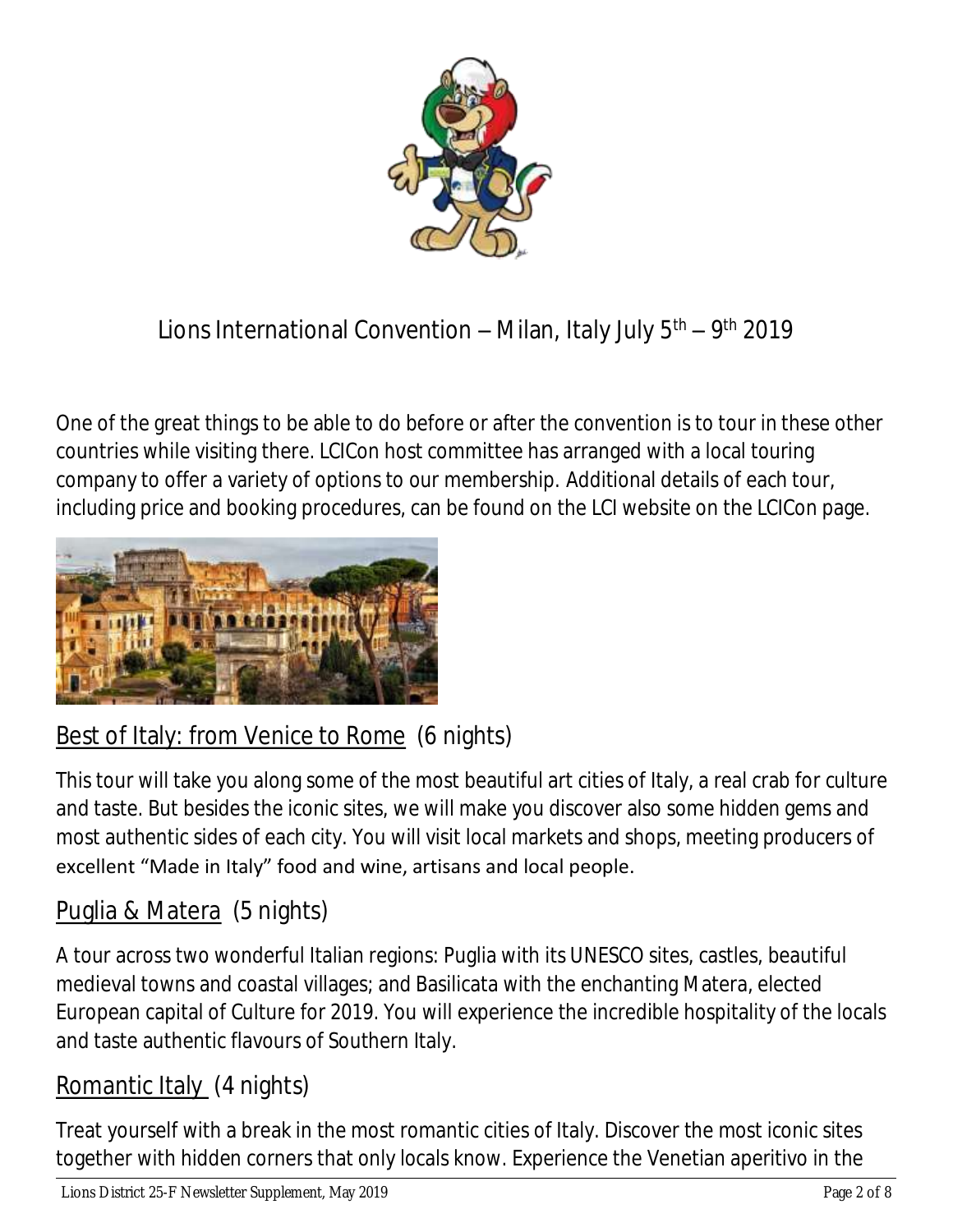

## Lions International Convention – Milan, Italy July 5<sup>th</sup> – 9<sup>th</sup> 2019

One of the great things to be able to do before or after the convention is to tour in these other countries while visiting there. LCICon host committee has arranged with a local touring company to offer a variety of options to our membership. Additional details of each tour, including price and booking procedures, can be found on the LCI website on the LCICon page.



## Best of Italy: from Venice to Rome (6 nights)

This tour will take you along some of the most beautiful art cities of Italy, a real crab for culture and taste. But besides the iconic sites, we will make you discover also some hidden gems and most authentic sides of each city. You will visit local markets and shops, meeting producers of excellent "Made in Italy" food and wine, artisans and local people.

### Puglia & Matera (5 nights)

A tour across two wonderful Italian regions: Puglia with its UNESCO sites, castles, beautiful medieval towns and coastal villages; and Basilicata with the enchanting Matera, elected European capital of Culture for 2019. You will experience the incredible hospitality of the locals and taste authentic flavours of Southern Italy.

### Romantic Italy (4 nights)

Treat yourself with a break in the most romantic cities of Italy. Discover the most iconic sites together with hidden corners that only locals know. Experience the Venetian aperitivo in the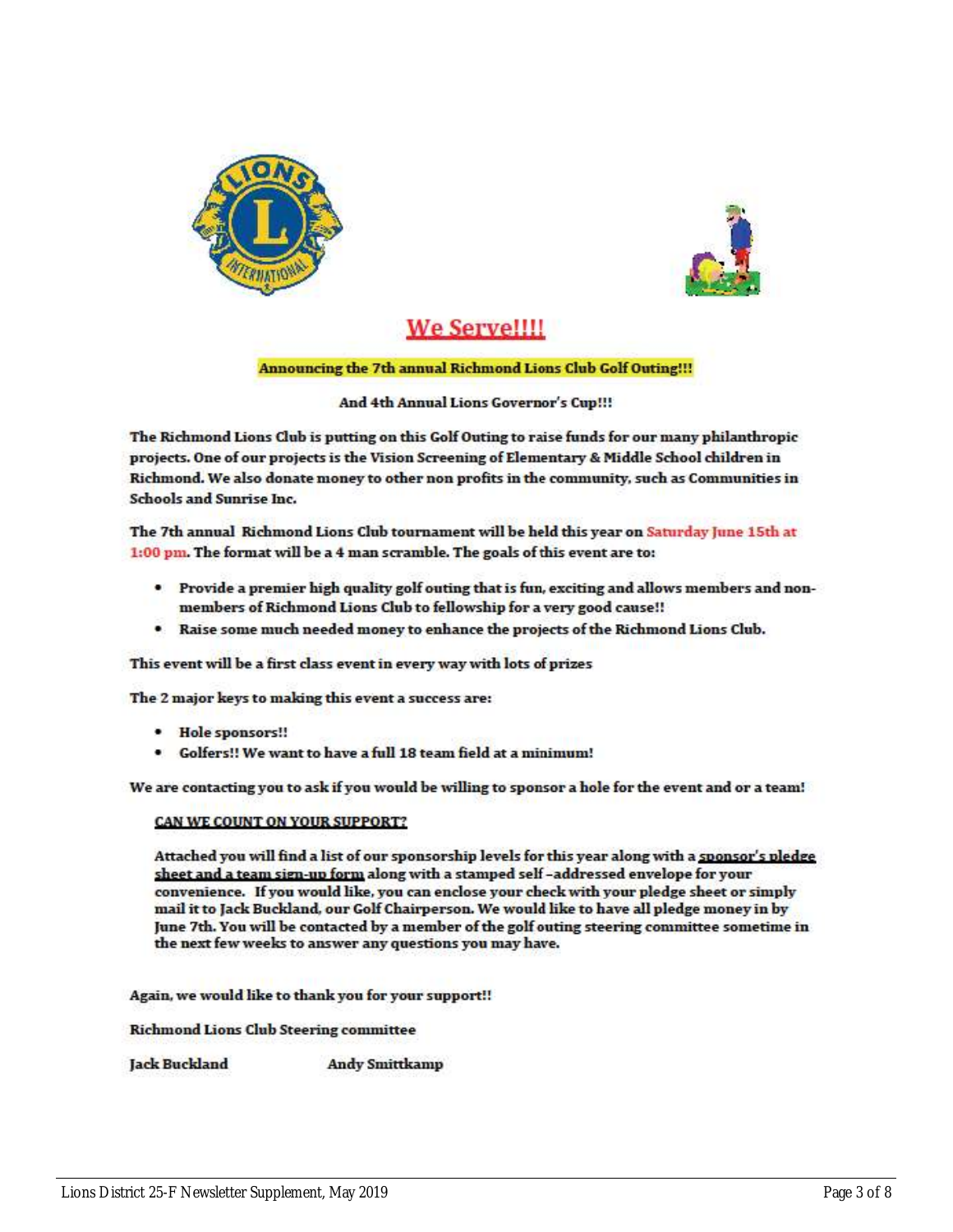



### We Serve!!!!

#### Announcing the 7th annual Richmond Lions Club Golf Outing!!!

#### And 4th Annual Lions Governor's Cup!!!

The Richmond Lions Club is putting on this Golf Outing to raise funds for our many philanthropic projects. One of our projects is the Vision Screening of Elementary & Middle School children in Richmond. We also donate money to other non profits in the community, such as Communities in **Schools and Sunrise Inc.** 

The 7th annual Richmond Lions Club tournament will be held this year on Saturday June 15th at 1:00 pm. The format will be a 4 man scramble. The goals of this event are to:

- Provide a premier high quality golf outing that is fun, exciting and allows members and nonmembers of Richmond Lions Club to fellowship for a very good cause!!
- . Raise some much needed money to enhance the projects of the Richmond Lions Club.

This event will be a first class event in every way with lots of prizes

The 2 major keys to making this event a success are:

- · Hole sponsors!!
- . Golfers!! We want to have a full 18 team field at a minimum!

We are contacting you to ask if you would be willing to sponsor a hole for the event and or a team!

#### CAN WE COUNT ON YOUR SUPPORT?

Attached you will find a list of our sponsorship levels for this year along with a sponsor's pledge sheet and a team sign-up form along with a stamped self-addressed envelope for your convenience. If you would like, you can enclose your check with your pledge sheet or simply mail it to Jack Buckland, our Golf Chairperson. We would like to have all pledge money in by June 7th. You will be contacted by a member of the golf outing steering committee sometime in the next few weeks to answer any questions you may have.

Again, we would like to thank you for your support!!

**Richmond Lions Club Steering committee** 

Jack Buckland **Andy Smittkamp**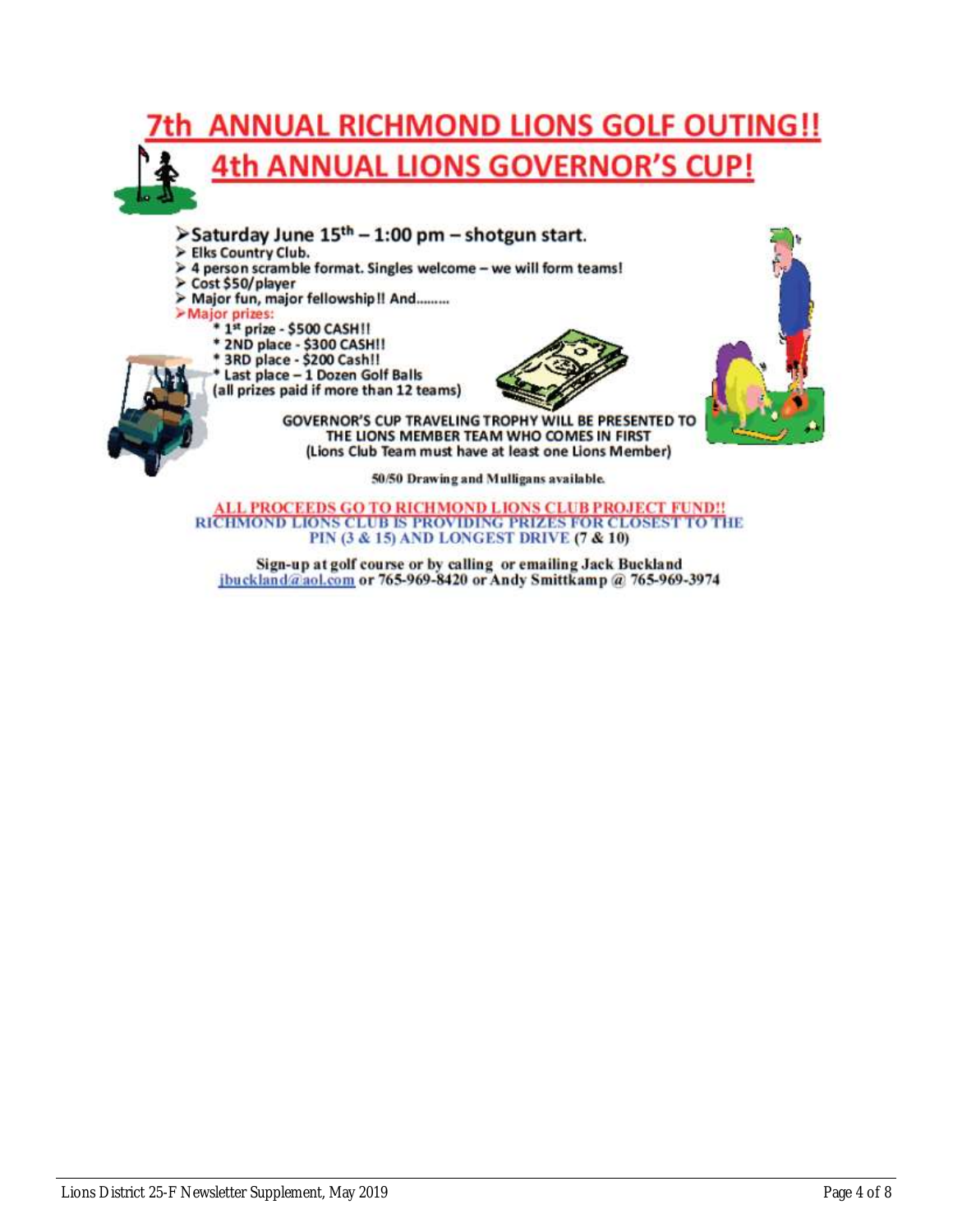

- >Saturday June 15<sup>th</sup> 1:00 pm shotgun start.
- > Elks Country Club.
- 4 person scramble format. Singles welcome we will form teams!
- Cost \$50/player
- > Major fun, major fellowship!! And.........
- >Major prizes:
	- \* 1st prize \$500 CASH!!
	-
	- \* 2ND place \$300 CASHII<br>\* 3RD place \$200 Cashii
	- \* Last place 1 Dozen Golf Balls
	- (all prizes paid if more than 12 teams)





**GOVERNOR'S CUP TRAVELING TROPHY WILL BE PRESENTED TO** THE LIONS MEMBER TEAM WHO COMES IN FIRST (Lions Club Team must have at least one Lions Member)

50/50 Drawing and Mulligans available.

**ALL PROCEEDS GO TO RICHMOND LIONS CLUB PROJECT FUND!!** RICHMOND LIONS CLUB IS PROVIDING PRIZES FOR CLOSEST TO THE PIN (3 & 15) AND LONGEST DRIVE (7 & 10)

Sign-up at golf course or by calling or emailing Jack Buckland jbuckland@aol.com or 765-969-8420 or Andy Smittkamp @ 765-969-3974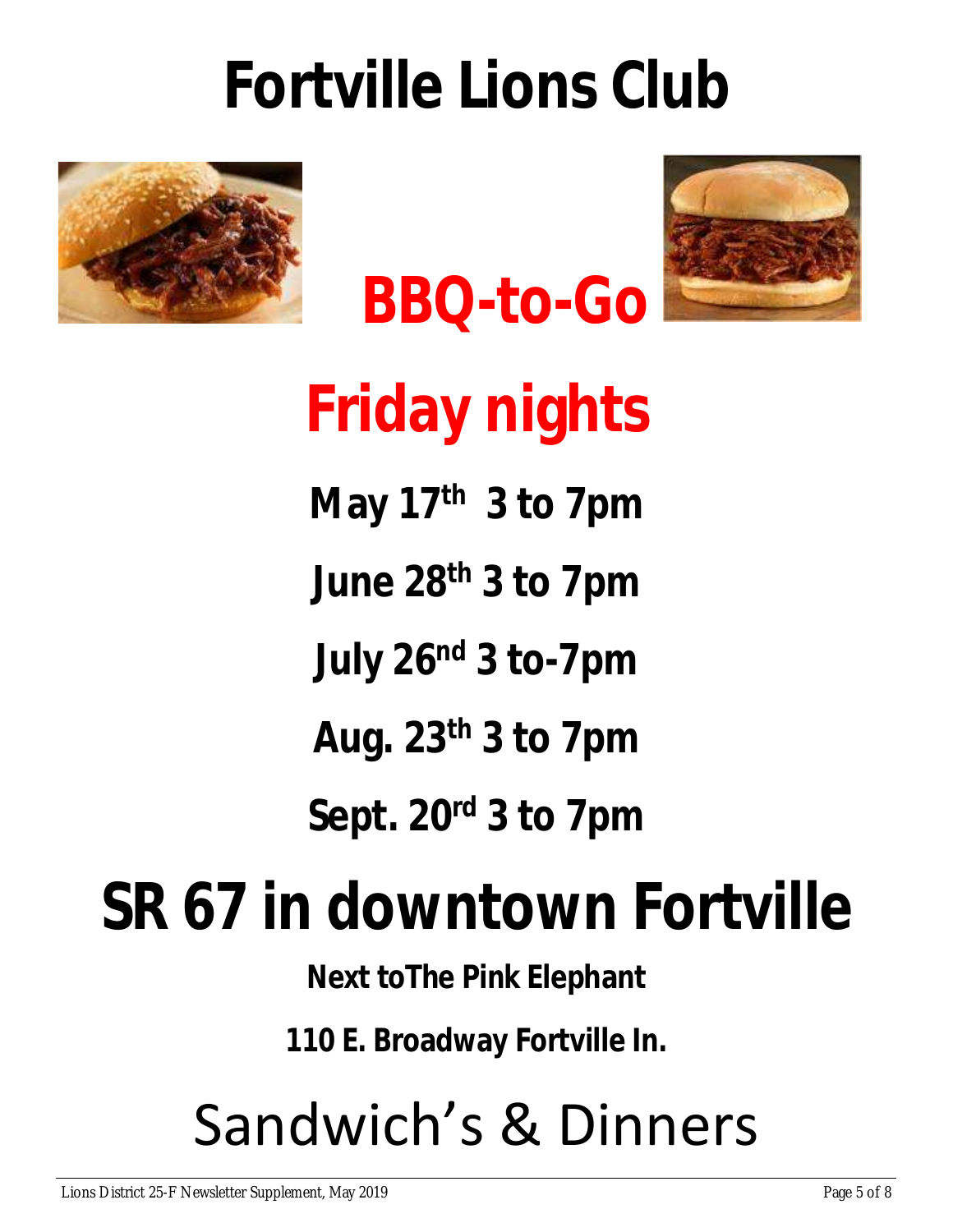# **Fortville Lions Club**







**Friday nights May 17 th 3 to 7pm June 28 th 3 to 7pm July 26 nd 3 to-7pm Aug. 23 th 3 to 7pm Sept. 20 rd 3 to 7pm** 

# **SR 67 in downtown Fortville**

**Next toThe Pink Elephant**

**110 E. Broadway Fortville In.**

# Sandwich's & Dinners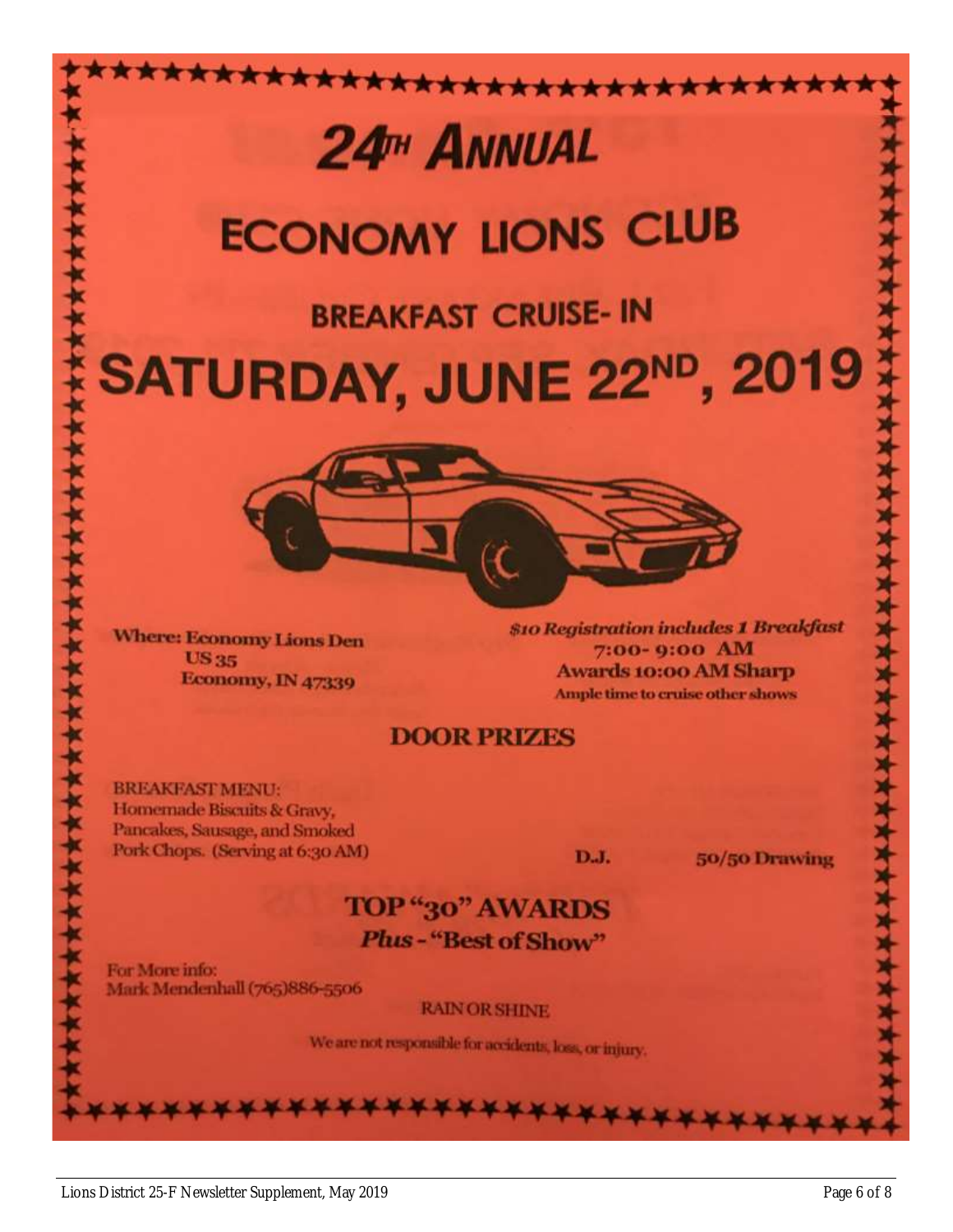# 24<sup>TH</sup> ANNUAL

# **ECONOMY LIONS CLUB**

\*\*\*\*\*\*\*\*\*\*\*\*\*\*\*\*\*\*

# **BREAKFAST CRUISE- IN** SATURDAY, JUNE 22<sup>ND</sup>, 2019



**Where: Economy Lions Den US35** Economy, IN 47339

**\$10 Registration includes 1 Breakfast** 7:00-9:00 AM **Awards 10:00 AM Sharp** Ample time to cruise other shows

### **DOOR PRIZES**

**BREAKFAST MENU:** Homemade Biscuits & Gravy, Pancakes, Sausage, and Smoked Pork Chops. (Serving at 6:30 AM)

**D.J.** 

50/50 Drawing

### **TOP** "30" AWARDS Plus-"Best of Show"

For More info: Mark Mendenhall (765)886-5506

**RAIN OR SHINE** 

\*\*\*\*\*\*\*\*\*\*\*

We are not responsible for accidents, loss, or injury.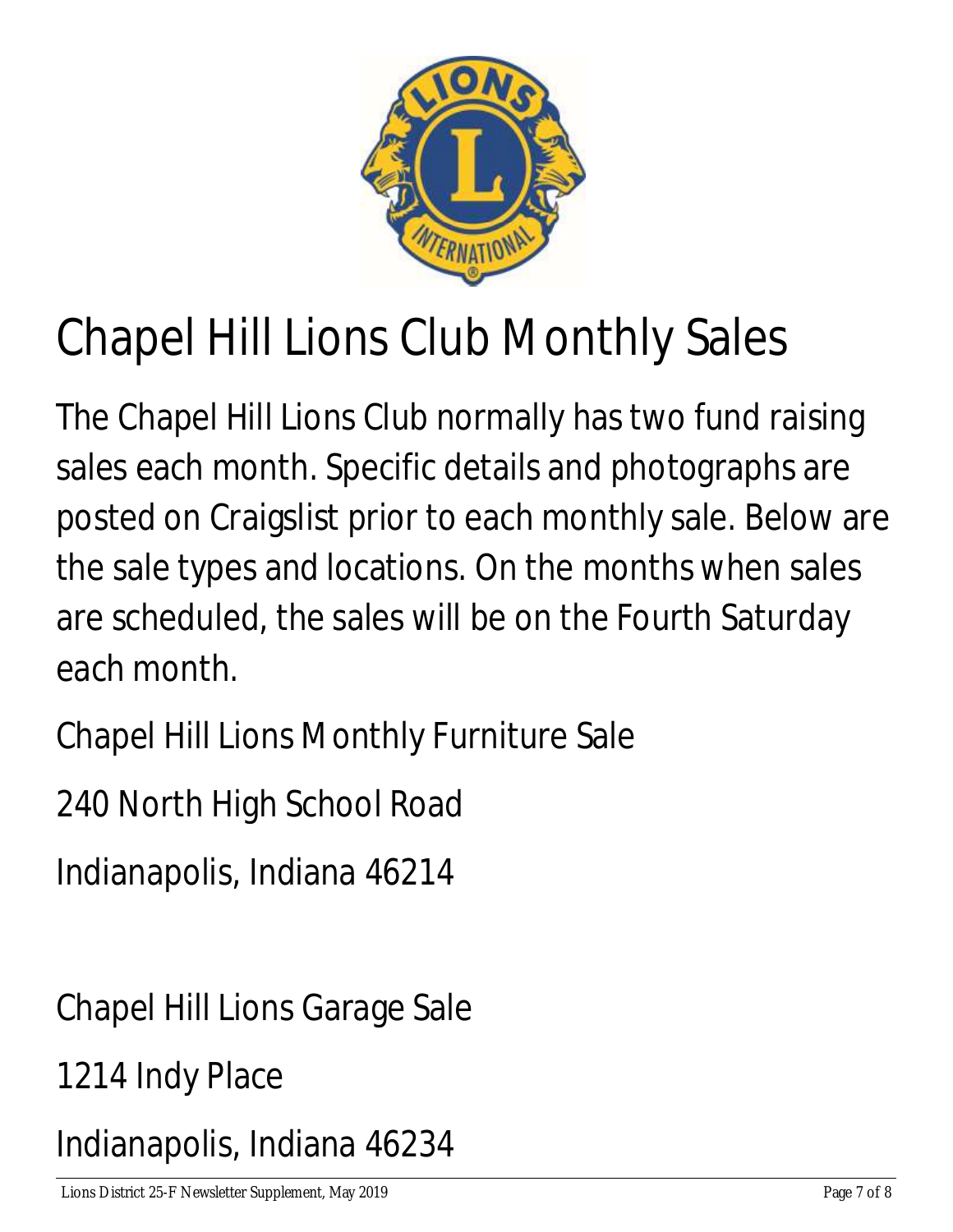

# Chapel Hill Lions Club Monthly Sales

The Chapel Hill Lions Club normally has two fund raising sales each month. Specific details and photographs are posted on Craigslist prior to each monthly sale. Below are the sale types and locations. On the months when sales are scheduled, the sales will be on the Fourth Saturday each month.

Chapel Hill Lions Monthly Furniture Sale

240 North High School Road

Indianapolis, Indiana 46214

Chapel Hill Lions Garage Sale

1214 Indy Place

Indianapolis, Indiana 46234